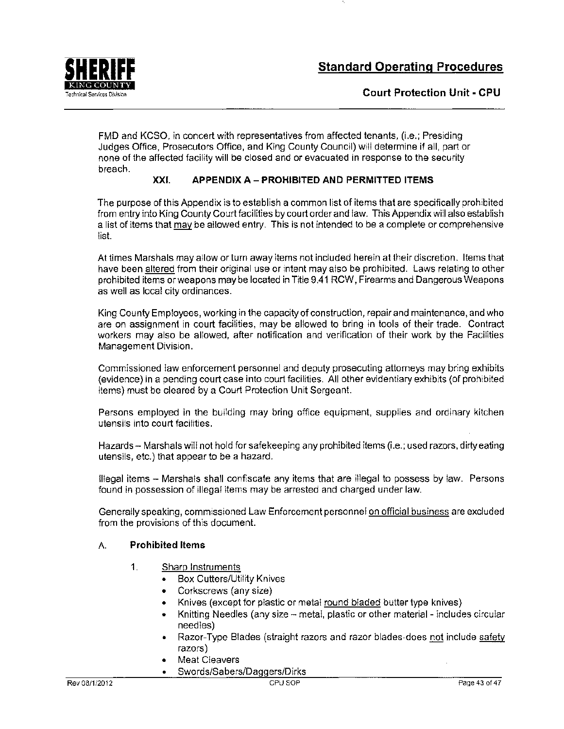

Technical Services Division **Court Protection Unit- CPU** 

FMD and KCSO, in concert with representatives from affected tenants, (i.e.; Presiding Judges Office, Prosecutors Office, and King County Council) will determine if all, part or none of the affected facility will be closed and or evacuated in response to the security breach.

## **XXI. APPENDIX A- PROHIBITED AND PERMITTED ITEMS**

The purpose of this Appendix is to establish a common list of items that are specifically prohibited from entry into King County Court facilities by court order and law. This Appendix will also establish a list of items that may be allowed entry. This is not intended to be a complete or comprehensive list.

At times Marshals may allow or turn away items not included herein at their discretion. Items that have been altered from their original use or intent may also be prohibited. Laws relating to other prohibited items or weapons may be located in Title 9.41 RCW, Firearms and Dangerous Weapons as well as local city ordinances.

King County Employees, working in the capacity of construction, repair and maintenance, and who are on assignment in court facilities, may be allowed to bring in tools of their trade. Contract workers may also be allowed, after notification and verification of their work by the Facilities Management Division.

Commissioned law enforcement personnel and deputy prosecuting attorneys may bring exhibits (evidence) in a pending court case into court facilities. All other evidentiary exhibits (of prohibited items) must be cleared by a Court Protection Unit Sergeant.

Persons employed in the building may bring office equipment, supplies and ordinary kitchen utensils into court facilities.

Hazards- Marshals will not hold for safekeeping any prohibited items (i.e.; used razors, dirty eating utensils, etc.) that appear to be a hazard.

Illegal items - Marshals shall confiscate any items that are illegal to possess by law. Persons found in possession of illegal items may be arrested and charged under law.

Generally speaking, commissioned Law Enforcement personnel on official business are excluded from the provisions of this document.

## A. **Prohibited Items**

- 1. Sharp Instruments
	- Box Cutters/Utility Knives
	- Corkscrews (any size)
	- Knives (except for plastic or metal round bladed butter type knives)
	- Knitting Needles (any size metal, plastic or other material includes circular needles)
	- Razor-Type Blades (straight razors and razor blades-does not include safety razors)
	- Meat Cleavers
	- Swords/Sabers/Daggers/Dirks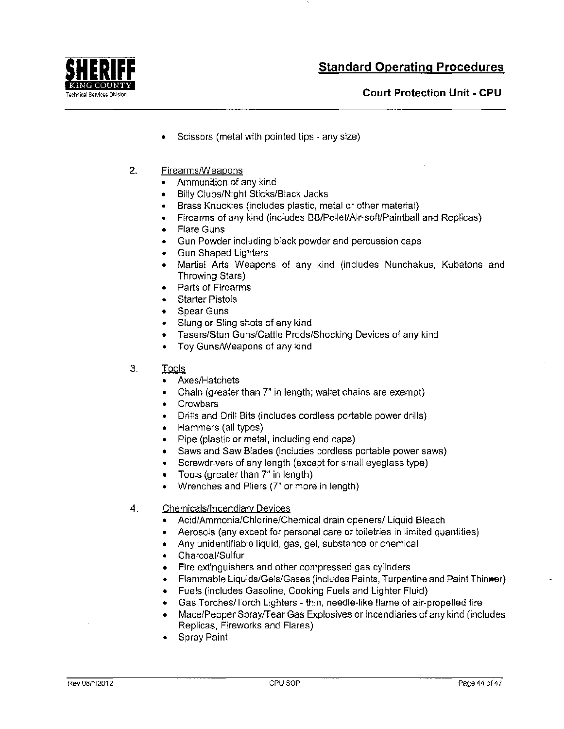

TechnicaiServicesDivision **Court Protection Unit· CPU** 

- Scissors (metal with pointed tips- any size)
- 2. Firearms/Weapons
	- Ammunition of any kind
	- Billy Clubs/Night Sticks/Black Jacks
	- Brass Knuckles (includes plastic, metal or other material)
	- Firearms of any kind (includes BB/Pellet/Air-soft/Paintball and Replicas)
	- Flare Guns
	- Gun Powder including black powder and percussion caps
	- Gun Shaped Lighters
	- Martial Arts Weapons of any kind (includes Nunchakus, Kubatons and Throwing Stars)
	- Parts of Firearms
	- **Starter Pistols**
	- Spear Guns
	- Slung or Sling shots of any kind
	- Tasers/Stun Guns/Cattle Prods/Shocking Devices of any kind
	- Toy Guns/Weapons of any kind
- 3. Tools
	- Axes/Hatchets
	- Chain (greater than 7" in length; wallet chains are exempt)
	- Crowbars
	- Drills and Drill Bits (includes cordiess portable power drills)
	- Hammers (all types)
	- Pipe (plastic or metal, including end caps)
	- Saws and Saw Blades (includes cordless portable power saws)
	- Screwdrivers of any length (except for small eyeglass type)
	- Tools (greater than 7" in length)
	- Wrenches and Pliers (7" or more in length)
- 4. Chemicals/Incendiary Devices
	- Acid/Ammonia/Chlorine/Chemical drain openers/ Liquid Bleach
	- Aerosols (any except for personal care or toiletries in limited quantities)
	- Any unidentifiable liquid, gas, gel, substance or chemical
	- Charcoal/Sulfur
	- Fire extinguishers and other compressed gas cylinders
	- Flammable Liquids/Gels/Gases (includes Paints, Turpentine and Paint Thinner)
	- Fuels (includes Gasoline, Cooking Fuels and Lighter Fluid)
	- Gas Torches/Torch Lighters thin, needle-like flame of air-propelled fire
	- Mace/Pepper Spray/Tear Gas Explosives or Incendiaries of any kind (includes Replicas, Fireworks and Flares)
	- Spray Paint